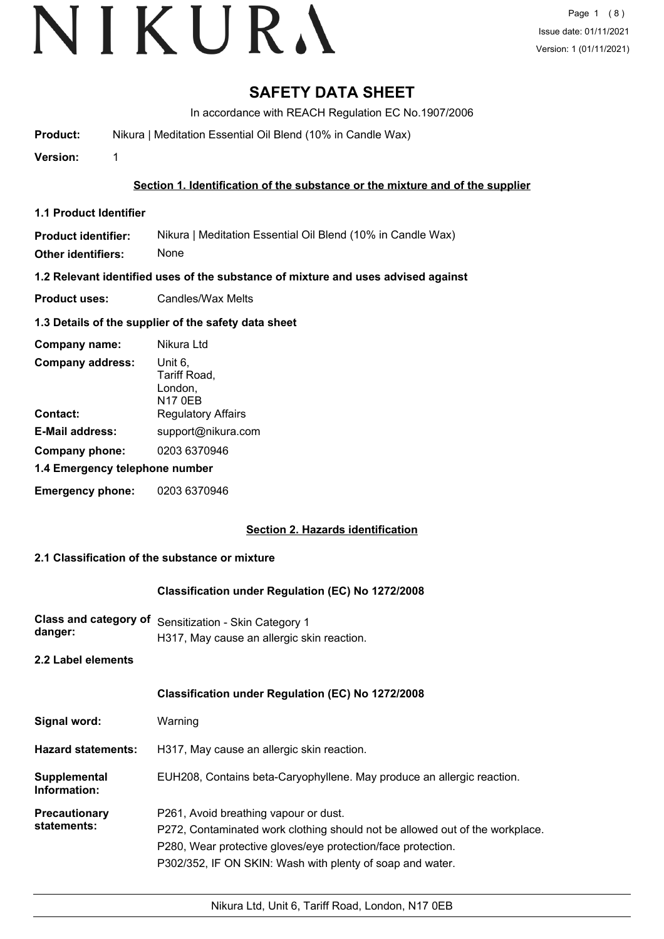### **SAFETY DATA SHEET**

In accordance with REACH Regulation EC No.1907/2006

**Product:** Nikura | Meditation Essential Oil Blend (10% in Candle Wax)

**Version:** 1

#### **Section 1. Identification of the substance or the mixture and of the supplier**

**1.1 Product Identifier**

**Product identifier:** Nikura | Meditation Essential Oil Blend (10% in Candle Wax)

**Other identifiers:** None

**1.2 Relevant identified uses of the substance of mixture and uses advised against**

**Product uses:** Candles/Wax Melts

#### **1.3 Details of the supplier of the safety data sheet**

| Company name:                  | Nikura Ltd                                           |  |
|--------------------------------|------------------------------------------------------|--|
| <b>Company address:</b>        | Unit 6.<br>Tariff Road,<br>London,<br><b>N17 0EB</b> |  |
| Contact:                       | <b>Regulatory Affairs</b>                            |  |
| <b>E-Mail address:</b>         | support@nikura.com                                   |  |
| Company phone:                 | 0203 6370946                                         |  |
| 1.4 Emergency telephone number |                                                      |  |
| <b>Emergency phone:</b>        | 0203 6370946                                         |  |

#### **Section 2. Hazards identification**

#### **2.1 Classification of the substance or mixture**

#### **Classification under Regulation (EC) No 1272/2008**

**Class and category of** Sensitization - Skin Category 1 **danger:** H317, May cause an allergic skin reaction.

**2.2 Label elements**

|                                     | Classification under Regulation (EC) No 1272/2008                                                                                                                                                                                                  |
|-------------------------------------|----------------------------------------------------------------------------------------------------------------------------------------------------------------------------------------------------------------------------------------------------|
| Signal word:                        | Warning                                                                                                                                                                                                                                            |
| <b>Hazard statements:</b>           | H317, May cause an allergic skin reaction.                                                                                                                                                                                                         |
| Supplemental<br>Information:        | EUH208, Contains beta-Caryophyllene. May produce an allergic reaction.                                                                                                                                                                             |
| <b>Precautionary</b><br>statements: | P261, Avoid breathing vapour or dust.<br>P272, Contaminated work clothing should not be allowed out of the workplace.<br>P280, Wear protective gloves/eye protection/face protection.<br>P302/352, IF ON SKIN: Wash with plenty of soap and water. |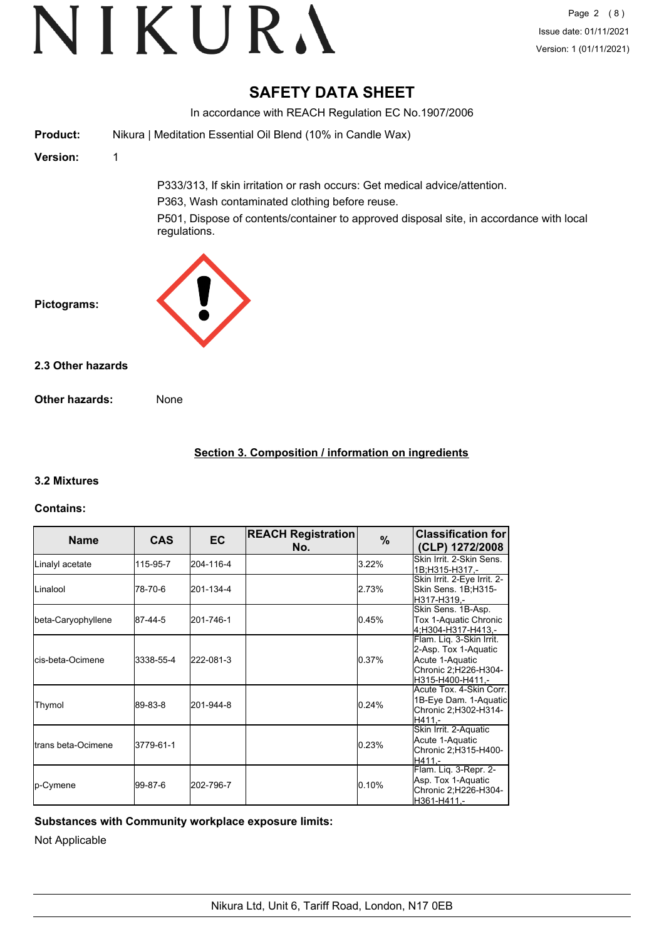### **SAFETY DATA SHEET**

In accordance with REACH Regulation EC No.1907/2006 **Product:** Nikura | Meditation Essential Oil Blend (10% in Candle Wax) **Version:** 1 P333/313, If skin irritation or rash occurs: Get medical advice/attention. P363, Wash contaminated clothing before reuse. P501, Dispose of contents/container to approved disposal site, in accordance with local regulations. **Pictograms: Other hazards:** None **2.3 Other hazards**

#### **Section 3. Composition / information on ingredients**

#### **3.2 Mixtures**

#### **Contains:**

| <b>Name</b>               | <b>CAS</b> | <b>EC</b> | <b>REACH Registration</b><br>No. | $\%$  | <b>Classification for</b><br>(CLP) 1272/2008                                                                     |
|---------------------------|------------|-----------|----------------------------------|-------|------------------------------------------------------------------------------------------------------------------|
| Linalyl acetate           | 115-95-7   | 204-116-4 |                                  | 3.22% | Skin Irrit, 2-Skin Sens.<br>1B;H315-H317.-                                                                       |
| ILinalool                 | 78-70-6    | 201-134-4 |                                  | 2.73% | Skin Irrit. 2-Eye Irrit. 2-<br>Skin Sens. 1B;H315-<br>H317-H319.-                                                |
| beta-Caryophyllene        | 87-44-5    | 201-746-1 |                                  | 0.45% | Skin Sens. 1B-Asp.<br>Tox 1-Aquatic Chronic<br>4:H304-H317-H413.-                                                |
| <b>l</b> cis-beta-Ocimene | 3338-55-4  | 222-081-3 |                                  | 0.37% | Flam. Lig. 3-Skin Irrit.<br>2-Asp. Tox 1-Aquatic<br>Acute 1-Aquatic<br>Chronic 2; H226-H304-<br>H315-H400-H411.- |
| Thymol                    | 89-83-8    | 201-944-8 |                                  | 0.24% | Acute Tox. 4-Skin Corr.<br>1B-Eye Dam. 1-Aquatic<br>Chronic 2; H302-H314-<br>H411.-                              |
| Itrans beta-Ocimene       | 3779-61-1  |           |                                  | 0.23% | Skin Irrit. 2-Aquatic<br>Acute 1-Aquatic<br>Chronic 2;H315-H400-<br>H411.-                                       |
| <b>p-Cymene</b>           | l99-87-6   | 202-796-7 |                                  | 0.10% | Flam. Liq. 3-Repr. 2-<br>Asp. Tox 1-Aquatic<br>Chronic 2;H226-H304-<br>H361-H411.-                               |

**Substances with Community workplace exposure limits:**

Not Applicable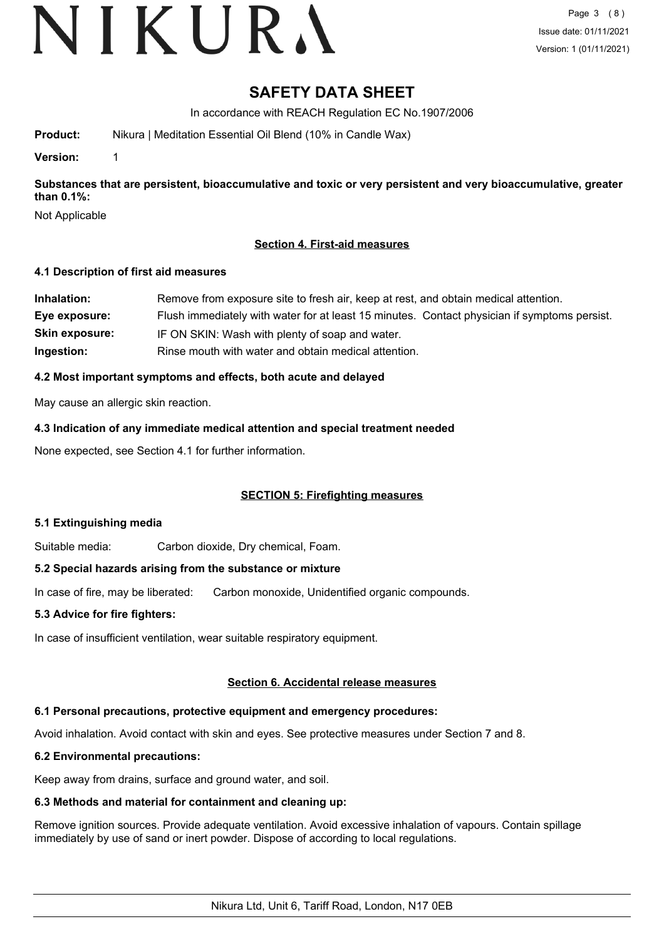# VIKURA

### **SAFETY DATA SHEET**

In accordance with REACH Regulation EC No.1907/2006

**Product:** Nikura | Meditation Essential Oil Blend (10% in Candle Wax)

**Version:** 1

**Substances that are persistent, bioaccumulative and toxic or very persistent and very bioaccumulative, greater than 0.1%:**

Not Applicable

#### **Section 4. First-aid measures**

#### **4.1 Description of first aid measures**

| Inhalation:           | Remove from exposure site to fresh air, keep at rest, and obtain medical attention.          |
|-----------------------|----------------------------------------------------------------------------------------------|
| Eye exposure:         | Flush immediately with water for at least 15 minutes. Contact physician if symptoms persist. |
| <b>Skin exposure:</b> | IF ON SKIN: Wash with plenty of soap and water.                                              |
| Ingestion:            | Rinse mouth with water and obtain medical attention.                                         |

#### **4.2 Most important symptoms and effects, both acute and delayed**

May cause an allergic skin reaction.

**4.3 Indication of any immediate medical attention and special treatment needed**

None expected, see Section 4.1 for further information.

#### **SECTION 5: Firefighting measures**

#### **5.1 Extinguishing media**

Suitable media: Carbon dioxide, Dry chemical, Foam.

#### **5.2 Special hazards arising from the substance or mixture**

In case of fire, may be liberated: Carbon monoxide, Unidentified organic compounds.

#### **5.3 Advice for fire fighters:**

In case of insufficient ventilation, wear suitable respiratory equipment.

#### **Section 6. Accidental release measures**

#### **6.1 Personal precautions, protective equipment and emergency procedures:**

Avoid inhalation. Avoid contact with skin and eyes. See protective measures under Section 7 and 8.

#### **6.2 Environmental precautions:**

Keep away from drains, surface and ground water, and soil.

### **6.3 Methods and material for containment and cleaning up:**

Remove ignition sources. Provide adequate ventilation. Avoid excessive inhalation of vapours. Contain spillage immediately by use of sand or inert powder. Dispose of according to local regulations.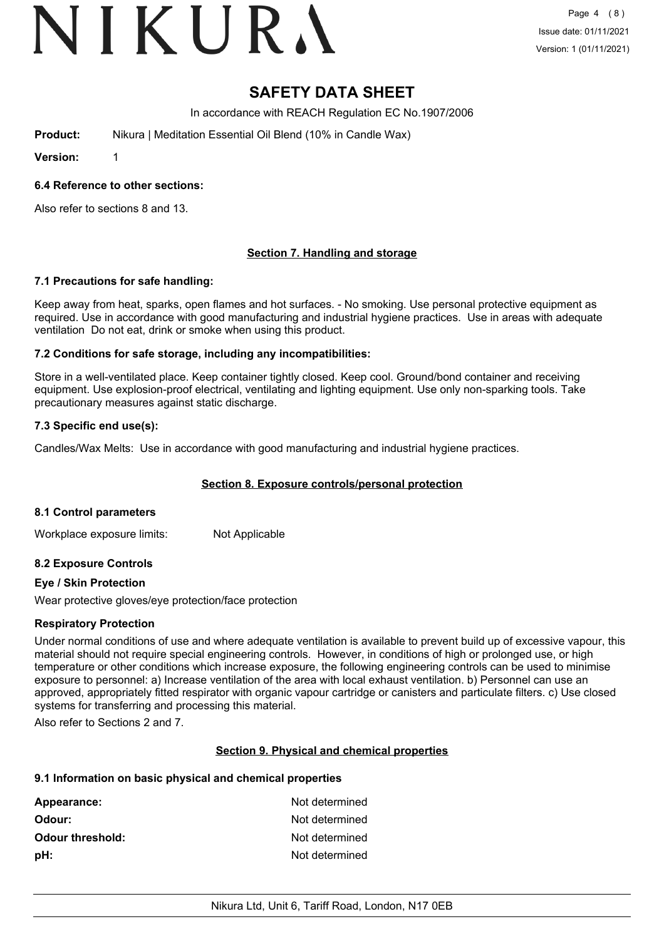# VIKURA

### **SAFETY DATA SHEET**

In accordance with REACH Regulation EC No.1907/2006

**Product:** Nikura | Meditation Essential Oil Blend (10% in Candle Wax)

**Version:** 1

#### **6.4 Reference to other sections:**

Also refer to sections 8 and 13.

#### **Section 7. Handling and storage**

#### **7.1 Precautions for safe handling:**

Keep away from heat, sparks, open flames and hot surfaces. - No smoking. Use personal protective equipment as required. Use in accordance with good manufacturing and industrial hygiene practices. Use in areas with adequate ventilation Do not eat, drink or smoke when using this product.

#### **7.2 Conditions for safe storage, including any incompatibilities:**

Store in a well-ventilated place. Keep container tightly closed. Keep cool. Ground/bond container and receiving equipment. Use explosion-proof electrical, ventilating and lighting equipment. Use only non-sparking tools. Take precautionary measures against static discharge.

#### **7.3 Specific end use(s):**

Candles/Wax Melts: Use in accordance with good manufacturing and industrial hygiene practices.

#### **Section 8. Exposure controls/personal protection**

#### **8.1 Control parameters**

Workplace exposure limits: Not Applicable

#### **8.2 Exposure Controls**

#### **Eye / Skin Protection**

Wear protective gloves/eye protection/face protection

#### **Respiratory Protection**

Under normal conditions of use and where adequate ventilation is available to prevent build up of excessive vapour, this material should not require special engineering controls. However, in conditions of high or prolonged use, or high temperature or other conditions which increase exposure, the following engineering controls can be used to minimise exposure to personnel: a) Increase ventilation of the area with local exhaust ventilation. b) Personnel can use an approved, appropriately fitted respirator with organic vapour cartridge or canisters and particulate filters. c) Use closed systems for transferring and processing this material.

Also refer to Sections 2 and 7.

#### **Section 9. Physical and chemical properties**

#### **9.1 Information on basic physical and chemical properties**

| Appearance:             | Not determined |
|-------------------------|----------------|
| Odour:                  | Not determined |
| <b>Odour threshold:</b> | Not determined |
| pH:                     | Not determined |
|                         |                |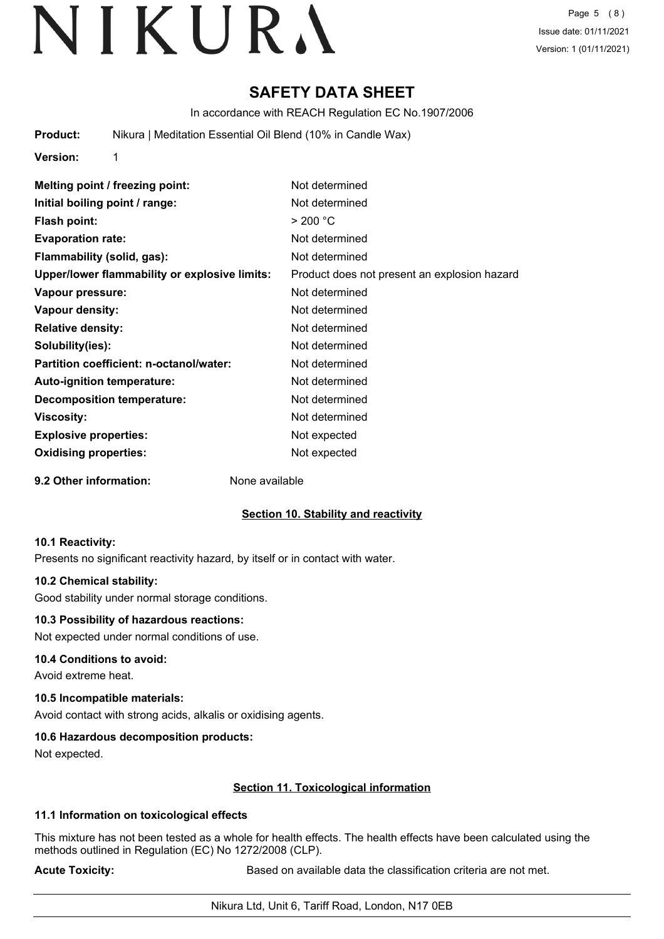### **SAFETY DATA SHEET**

In accordance with REACH Regulation EC No.1907/2006

**Product:** Nikura | Meditation Essential Oil Blend (10% in Candle Wax)

**Version:** 1

| Melting point / freezing point:               | Not determined                               |
|-----------------------------------------------|----------------------------------------------|
| Initial boiling point / range:                | Not determined                               |
| Flash point:                                  | $>$ 200 °C                                   |
| <b>Evaporation rate:</b>                      | Not determined                               |
| Flammability (solid, gas):                    | Not determined                               |
| Upper/lower flammability or explosive limits: | Product does not present an explosion hazard |
| Vapour pressure:                              | Not determined                               |
| Vapour density:                               | Not determined                               |
| <b>Relative density:</b>                      | Not determined                               |
| Solubility(ies):                              | Not determined                               |
| Partition coefficient: n-octanol/water:       | Not determined                               |
| <b>Auto-ignition temperature:</b>             | Not determined                               |
| <b>Decomposition temperature:</b>             | Not determined                               |
| Viscosity:                                    | Not determined                               |
| <b>Explosive properties:</b>                  | Not expected                                 |
| <b>Oxidising properties:</b>                  | Not expected                                 |
|                                               |                                              |

**9.2 Other information:** None available

#### **Section 10. Stability and reactivity**

#### **10.1 Reactivity:**

Presents no significant reactivity hazard, by itself or in contact with water.

#### **10.2 Chemical stability:**

Good stability under normal storage conditions.

#### **10.3 Possibility of hazardous reactions:**

Not expected under normal conditions of use.

#### **10.4 Conditions to avoid:**

Avoid extreme heat.

#### **10.5 Incompatible materials:**

Avoid contact with strong acids, alkalis or oxidising agents.

#### **10.6 Hazardous decomposition products:**

Not expected.

#### **Section 11. Toxicological information**

#### **11.1 Information on toxicological effects**

This mixture has not been tested as a whole for health effects. The health effects have been calculated using the methods outlined in Regulation (EC) No 1272/2008 (CLP).

**Acute Toxicity: Acute Toxicity: Based on available data the classification criteria are not met.**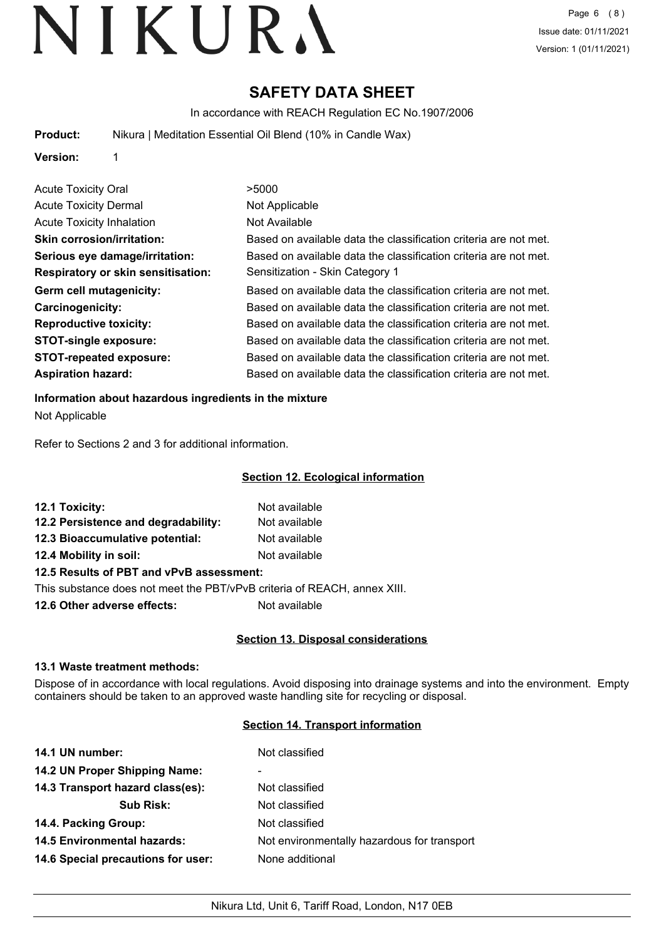### **SAFETY DATA SHEET**

In accordance with REACH Regulation EC No.1907/2006

**Product:** Nikura | Meditation Essential Oil Blend (10% in Candle Wax)

**Version:** 1

| <b>Acute Toxicity Oral</b>                | >5000                                                            |
|-------------------------------------------|------------------------------------------------------------------|
| <b>Acute Toxicity Dermal</b>              | Not Applicable                                                   |
| <b>Acute Toxicity Inhalation</b>          | Not Available                                                    |
| <b>Skin corrosion/irritation:</b>         | Based on available data the classification criteria are not met. |
| Serious eye damage/irritation:            | Based on available data the classification criteria are not met. |
| <b>Respiratory or skin sensitisation:</b> | Sensitization - Skin Category 1                                  |
| Germ cell mutagenicity:                   | Based on available data the classification criteria are not met. |
| <b>Carcinogenicity:</b>                   | Based on available data the classification criteria are not met. |
| <b>Reproductive toxicity:</b>             | Based on available data the classification criteria are not met. |
| <b>STOT-single exposure:</b>              | Based on available data the classification criteria are not met. |
| <b>STOT-repeated exposure:</b>            | Based on available data the classification criteria are not met. |
| <b>Aspiration hazard:</b>                 | Based on available data the classification criteria are not met. |

#### **Information about hazardous ingredients in the mixture**

Not Applicable

Refer to Sections 2 and 3 for additional information.

#### **Section 12. Ecological information**

| 12.1 Toxicity:                           | Not available |  |
|------------------------------------------|---------------|--|
| 12.2 Persistence and degradability:      | Not available |  |
| 12.3 Bioaccumulative potential:          | Not available |  |
| 12.4 Mobility in soil:                   | Not available |  |
| 12.5 Results of PBT and vPvB assessment: |               |  |

This substance does not meet the PBT/vPvB criteria of REACH, annex XIII.

**12.6 Other adverse effects:** Not available

#### **Section 13. Disposal considerations**

#### **13.1 Waste treatment methods:**

Dispose of in accordance with local regulations. Avoid disposing into drainage systems and into the environment. Empty containers should be taken to an approved waste handling site for recycling or disposal.

#### **Section 14. Transport information**

| 14.1 UN number:                    | Not classified                              |
|------------------------------------|---------------------------------------------|
| 14.2 UN Proper Shipping Name:      | ۰                                           |
| 14.3 Transport hazard class(es):   | Not classified                              |
| <b>Sub Risk:</b>                   | Not classified                              |
| 14.4. Packing Group:               | Not classified                              |
| <b>14.5 Environmental hazards:</b> | Not environmentally hazardous for transport |
| 14.6 Special precautions for user: | None additional                             |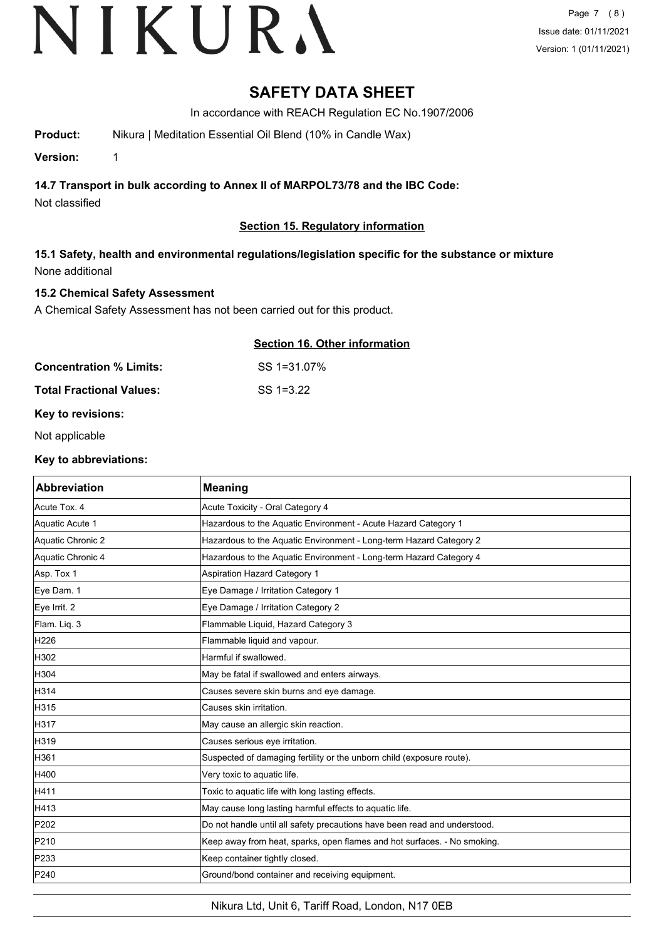### **SAFETY DATA SHEET**

In accordance with REACH Regulation EC No.1907/2006

**Product:** Nikura | Meditation Essential Oil Blend (10% in Candle Wax)

**Version:** 1

#### **14.7 Transport in bulk according to Annex II of MARPOL73/78 and the IBC Code:**

Not classified

#### **Section 15. Regulatory information**

#### **15.1 Safety, health and environmental regulations/legislation specific for the substance or mixture** None additional

#### **15.2 Chemical Safety Assessment**

A Chemical Safety Assessment has not been carried out for this product.

#### **Section 16. Other information**

| Concentration % Limits:  | SS 1=31.07%  |
|--------------------------|--------------|
| Total Fractional Values: | $SS = 13.22$ |

#### **Key to revisions:**

Not applicable

#### **Key to abbreviations:**

| <b>Abbreviation</b> | <b>Meaning</b>                                                            |
|---------------------|---------------------------------------------------------------------------|
| Acute Tox. 4        | Acute Toxicity - Oral Category 4                                          |
| Aquatic Acute 1     | Hazardous to the Aquatic Environment - Acute Hazard Category 1            |
| Aquatic Chronic 2   | Hazardous to the Aquatic Environment - Long-term Hazard Category 2        |
| Aquatic Chronic 4   | Hazardous to the Aquatic Environment - Long-term Hazard Category 4        |
| Asp. Tox 1          | <b>Aspiration Hazard Category 1</b>                                       |
| Eye Dam. 1          | Eye Damage / Irritation Category 1                                        |
| Eye Irrit. 2        | Eye Damage / Irritation Category 2                                        |
| Flam. Liq. 3        | Flammable Liquid, Hazard Category 3                                       |
| H226                | Flammable liquid and vapour.                                              |
| H302                | Harmful if swallowed.                                                     |
| H304                | May be fatal if swallowed and enters airways.                             |
| H314                | Causes severe skin burns and eye damage.                                  |
| H315                | Causes skin irritation.                                                   |
| H317                | May cause an allergic skin reaction.                                      |
| H319                | Causes serious eye irritation.                                            |
| H361                | Suspected of damaging fertility or the unborn child (exposure route).     |
| H400                | Very toxic to aquatic life.                                               |
| H411                | Toxic to aquatic life with long lasting effects.                          |
| H413                | May cause long lasting harmful effects to aquatic life.                   |
| P202                | Do not handle until all safety precautions have been read and understood. |
| P210                | Keep away from heat, sparks, open flames and hot surfaces. - No smoking.  |
| P233                | Keep container tightly closed.                                            |
| P240                | Ground/bond container and receiving equipment.                            |